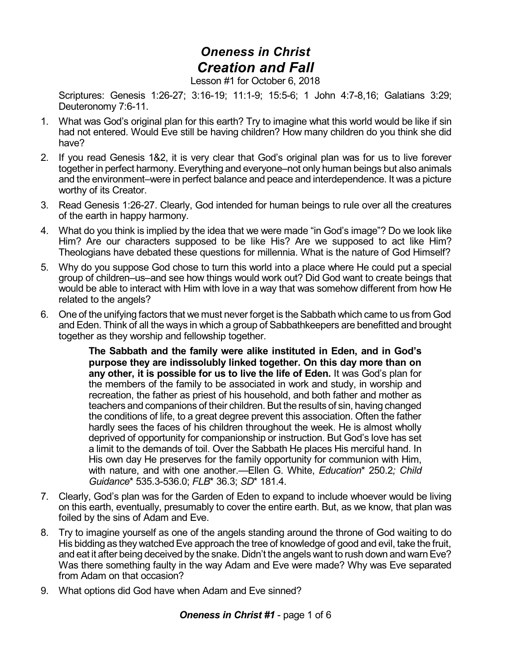## *Oneness in Christ Creation and Fall*

Lesson #1 for October 6, 2018

Scriptures: Genesis 1:26-27; 3:16-19; 11:1-9; 15:5-6; 1 John 4:7-8,16; Galatians 3:29; Deuteronomy 7:6-11.

- 1. What was God's original plan for this earth? Try to imagine what this world would be like if sin had not entered. Would Eve still be having children? How many children do you think she did have?
- 2. If you read Genesis 1&2, it is very clear that God's original plan was for us to live forever together in perfect harmony. Everything and everyone–not only human beings but also animals and the environment–were in perfect balance and peace and interdependence. It was a picture worthy of its Creator.
- 3. Read Genesis 1:26-27. Clearly, God intended for human beings to rule over all the creatures of the earth in happy harmony.
- 4. What do you think is implied by the idea that we were made "in God's image"? Do we look like Him? Are our characters supposed to be like His? Are we supposed to act like Him? Theologians have debated these questions for millennia. What is the nature of God Himself?
- 5. Why do you suppose God chose to turn this world into a place where He could put a special group of children–us–and see how things would work out? Did God want to create beings that would be able to interact with Him with love in a way that was somehow different from how He related to the angels?
- 6. One of the unifying factors that we must never forget is the Sabbath which came to us from God and Eden. Think of all the ways in which a group of Sabbathkeepers are benefitted and brought together as they worship and fellowship together.

**The Sabbath and the family were alike instituted in Eden, and in God's purpose they are indissolubly linked together. On this day more than on any other, it is possible for us to live the life of Eden.** It was God's plan for the members of the family to be associated in work and study, in worship and recreation, the father as priest of his household, and both father and mother as teachers and companions of their children. But the results of sin, having changed the conditions of life, to a great degree prevent this association. Often the father hardly sees the faces of his children throughout the week. He is almost wholly deprived of opportunity for companionship or instruction. But God's love has set a limit to the demands of toil. Over the Sabbath He places His merciful hand. In His own day He preserves for the family opportunity for communion with Him, with nature, and with one another.—Ellen G. White, *Education*\* 250.2*; Child Guidance*\* 535.3-536.0; *FLB*\* 36.3; *SD*\* 181.4.

- 7. Clearly, God's plan was for the Garden of Eden to expand to include whoever would be living on this earth, eventually, presumably to cover the entire earth. But, as we know, that plan was foiled by the sins of Adam and Eve.
- 8. Try to imagine yourself as one of the angels standing around the throne of God waiting to do His bidding as they watched Eve approach the tree of knowledge of good and evil, take the fruit, and eat it after being deceived by the snake. Didn't the angels want to rush down and warn Eve? Was there something faulty in the way Adam and Eve were made? Why was Eve separated from Adam on that occasion?
- 9. What options did God have when Adam and Eve sinned?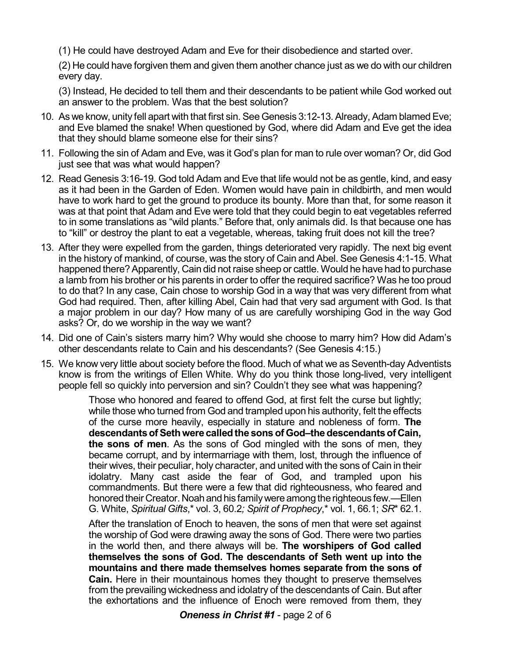(1) He could have destroyed Adam and Eve for their disobedience and started over.

(2) He could have forgiven them and given them another chance just as we do with our children every day.

(3) Instead, He decided to tell them and their descendants to be patient while God worked out an answer to the problem. Was that the best solution?

- 10. As we know, unity fell apart with that first sin. See Genesis 3:12-13. Already, Adam blamed Eve; and Eve blamed the snake! When questioned by God, where did Adam and Eve get the idea that they should blame someone else for their sins?
- 11. Following the sin of Adam and Eve, was it God's plan for man to rule over woman? Or, did God just see that was what would happen?
- 12. Read Genesis 3:16-19. God told Adam and Eve that life would not be as gentle, kind, and easy as it had been in the Garden of Eden. Women would have pain in childbirth, and men would have to work hard to get the ground to produce its bounty. More than that, for some reason it was at that point that Adam and Eve were told that they could begin to eat vegetables referred to in some translations as "wild plants." Before that, only animals did. Is that because one has to "kill" or destroy the plant to eat a vegetable, whereas, taking fruit does not kill the tree?
- 13. After they were expelled from the garden, things deteriorated very rapidly. The next big event in the history of mankind, of course, was the story of Cain and Abel. See Genesis 4:1-15. What happened there? Apparently, Cain did not raise sheep or cattle. Would he have had to purchase a lamb from his brother or his parents in order to offer the required sacrifice? Was he too proud to do that? In any case, Cain chose to worship God in a way that was very different from what God had required. Then, after killing Abel, Cain had that very sad argument with God. Is that a major problem in our day? How many of us are carefully worshiping God in the way God asks? Or, do we worship in the way we want?
- 14. Did one of Cain's sisters marry him? Why would she choose to marry him? How did Adam's other descendants relate to Cain and his descendants? (See Genesis 4:15.)
- 15. We know very little about society before the flood. Much of what we as Seventh-day Adventists know is from the writings of Ellen White. Why do you think those long-lived, very intelligent people fell so quickly into perversion and sin? Couldn't they see what was happening?

Those who honored and feared to offend God, at first felt the curse but lightly; while those who turned from God and trampled upon his authority, felt the effects of the curse more heavily, especially in stature and nobleness of form. **The descendantsofSethwere calledthe sons of God–the descendantsof Cain, the sons of men**. As the sons of God mingled with the sons of men, they became corrupt, and by intermarriage with them, lost, through the influence of their wives, their peculiar, holy character, and united with the sons of Cain in their idolatry. Many cast aside the fear of God, and trampled upon his commandments. But there were a few that did righteousness, who feared and honored their Creator. Noah and his family were among the righteous few.—Ellen G. White, *Spiritual Gifts*,\* vol. 3, 60.2*; Spirit of Prophecy*,\* vol. 1, 66.1; *SR*\* 62.1.

After the translation of Enoch to heaven, the sons of men that were set against the worship of God were drawing away the sons of God. There were two parties in the world then, and there always will be. **The worshipers of God called themselves the sons of God. The descendants of Seth went up into the mountains and there made themselves homes separate from the sons of Cain.** Here in their mountainous homes they thought to preserve themselves from the prevailing wickedness and idolatry of the descendants of Cain. But after the exhortations and the influence of Enoch were removed from them, they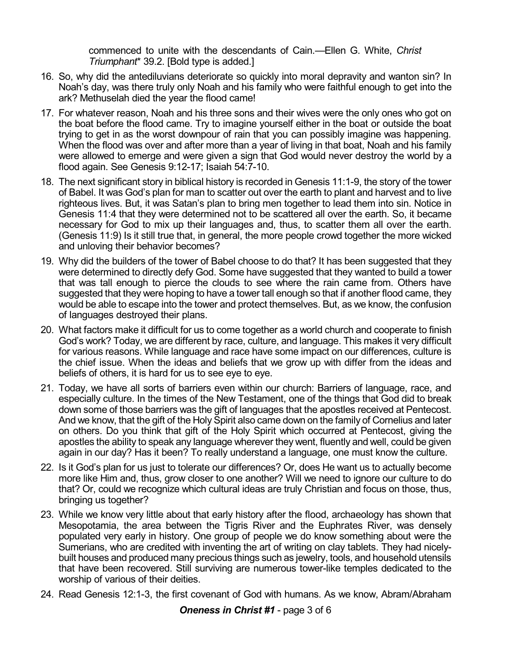commenced to unite with the descendants of Cain.—Ellen G. White, *Christ Triumphant*\* 39.2. [Bold type is added.]

- 16. So, why did the antediluvians deteriorate so quickly into moral depravity and wanton sin? In Noah's day, was there truly only Noah and his family who were faithful enough to get into the ark? Methuselah died the year the flood came!
- 17. For whatever reason, Noah and his three sons and their wives were the only ones who got on the boat before the flood came. Try to imagine yourself either in the boat or outside the boat trying to get in as the worst downpour of rain that you can possibly imagine was happening. When the flood was over and after more than a year of living in that boat, Noah and his family were allowed to emerge and were given a sign that God would never destroy the world by a flood again. See Genesis 9:12-17; Isaiah 54:7-10.
- 18. The next significant story in biblical history is recorded in Genesis 11:1-9, the story of the tower of Babel. It was God's plan for man to scatter out over the earth to plant and harvest and to live righteous lives. But, it was Satan's plan to bring men together to lead them into sin. Notice in Genesis 11:4 that they were determined not to be scattered all over the earth. So, it became necessary for God to mix up their languages and, thus, to scatter them all over the earth. (Genesis 11:9) Is it still true that, in general, the more people crowd together the more wicked and unloving their behavior becomes?
- 19. Why did the builders of the tower of Babel choose to do that? It has been suggested that they were determined to directly defy God. Some have suggested that they wanted to build a tower that was tall enough to pierce the clouds to see where the rain came from. Others have suggested that they were hoping to have a tower tall enough so that if another flood came, they would be able to escape into the tower and protect themselves. But, as we know, the confusion of languages destroyed their plans.
- 20. What factors make it difficult for us to come together as a world church and cooperate to finish God's work? Today, we are different by race, culture, and language. This makes it very difficult for various reasons. While language and race have some impact on our differences, culture is the chief issue. When the ideas and beliefs that we grow up with differ from the ideas and beliefs of others, it is hard for us to see eye to eye.
- 21. Today, we have all sorts of barriers even within our church: Barriers of language, race, and especially culture. In the times of the New Testament, one of the things that God did to break down some of those barriers was the gift of languages that the apostles received at Pentecost. And we know, that the gift of the Holy Spirit also came down on the family of Cornelius and later on others. Do you think that gift of the Holy Spirit which occurred at Pentecost, giving the apostles the ability to speak any language wherever they went, fluently and well, could be given again in our day? Has it been? To really understand a language, one must know the culture.
- 22. Is it God's plan for us just to tolerate our differences? Or, does He want us to actually become more like Him and, thus, grow closer to one another? Will we need to ignore our culture to do that? Or, could we recognize which cultural ideas are truly Christian and focus on those, thus, bringing us together?
- 23. While we know very little about that early history after the flood, archaeology has shown that Mesopotamia, the area between the Tigris River and the Euphrates River, was densely populated very early in history. One group of people we do know something about were the Sumerians, who are credited with inventing the art of writing on clay tablets. They had nicelybuilt houses and produced many precious things such as jewelry, tools, and household utensils that have been recovered. Still surviving are numerous tower-like temples dedicated to the worship of various of their deities.
- 24. Read Genesis 12:1-3, the first covenant of God with humans. As we know, Abram/Abraham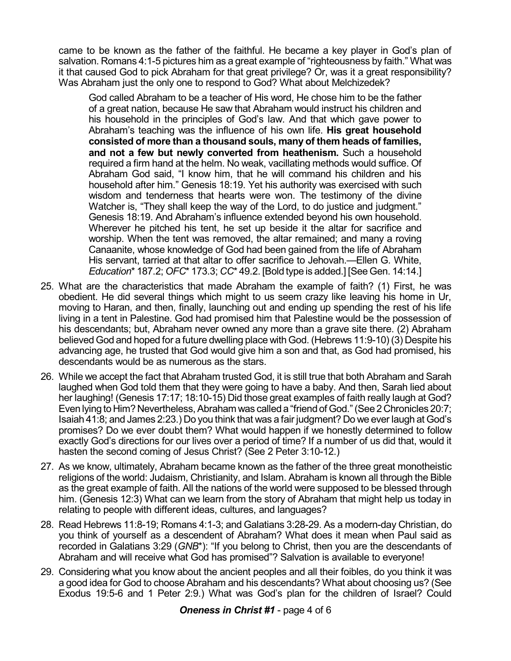came to be known as the father of the faithful. He became a key player in God's plan of salvation. Romans 4:1-5 pictures him as a great example of "righteousness by faith." What was it that caused God to pick Abraham for that great privilege? Or, was it a great responsibility? Was Abraham just the only one to respond to God? What about Melchizedek?

God called Abraham to be a teacher of His word, He chose him to be the father of a great nation, because He saw that Abraham would instruct his children and his household in the principles of God's law. And that which gave power to Abraham's teaching was the influence of his own life. **His great household consisted of more than a thousand souls, many of them heads of families, and not a few but newly converted from heathenism.** Such a household required a firm hand at the helm. No weak, vacillating methods would suffice. Of Abraham God said, "I know him, that he will command his children and his household after him." Genesis 18:19. Yet his authority was exercised with such wisdom and tenderness that hearts were won. The testimony of the divine Watcher is, "They shall keep the way of the Lord, to do justice and judament." Genesis 18:19. And Abraham's influence extended beyond his own household. Wherever he pitched his tent, he set up beside it the altar for sacrifice and worship. When the tent was removed, the altar remained; and many a roving Canaanite, whose knowledge of God had been gained from the life of Abraham His servant, tarried at that altar to offer sacrifice to Jehovah.—Ellen G. White, *Education*\* 187.2; *OFC*\* 173.3; *CC*\* 49.2. [Bold type is added.] [See Gen. 14:14.]

- 25. What are the characteristics that made Abraham the example of faith? (1) First, he was obedient. He did several things which might to us seem crazy like leaving his home in Ur, moving to Haran, and then, finally, launching out and ending up spending the rest of his life living in a tent in Palestine. God had promised him that Palestine would be the possession of his descendants; but, Abraham never owned any more than a grave site there. (2) Abraham believed God and hoped for a future dwelling place with God. (Hebrews 11:9-10) (3) Despite his advancing age, he trusted that God would give him a son and that, as God had promised, his descendants would be as numerous as the stars.
- 26. While we accept the fact that Abraham trusted God, it is still true that both Abraham and Sarah laughed when God told them that they were going to have a baby. And then, Sarah lied about her laughing! (Genesis 17:17; 18:10-15) Did those great examples of faith really laugh at God? Even lying to Him? Nevertheless, Abraham was called a "friend of God." (See 2 Chronicles 20:7; Isaiah 41:8; and James 2:23.) Do you think that was a fair judgment? Do we ever laugh at God's promises? Do we ever doubt them? What would happen if we honestly determined to follow exactly God's directions for our lives over a period of time? If a number of us did that, would it hasten the second coming of Jesus Christ? (See 2 Peter 3:10-12.)
- 27. As we know, ultimately, Abraham became known as the father of the three great monotheistic religions of the world: Judaism, Christianity, and Islam. Abraham is known all through the Bible as the great example of faith. All the nations of the world were supposed to be blessed through him. (Genesis 12:3) What can we learn from the story of Abraham that might help us today in relating to people with different ideas, cultures, and languages?
- 28. Read Hebrews 11:8-19; Romans 4:1-3; and Galatians 3:28-29. As a modern-day Christian, do you think of yourself as a descendent of Abraham? What does it mean when Paul said as recorded in Galatians 3:29 (*GNB*\*): "If you belong to Christ, then you are the descendants of Abraham and will receive what God has promised"? Salvation is available to everyone!
- 29. Considering what you know about the ancient peoples and all their foibles, do you think it was a good idea for God to choose Abraham and his descendants? What about choosing us? (See Exodus 19:5-6 and 1 Peter 2:9.) What was God's plan for the children of Israel? Could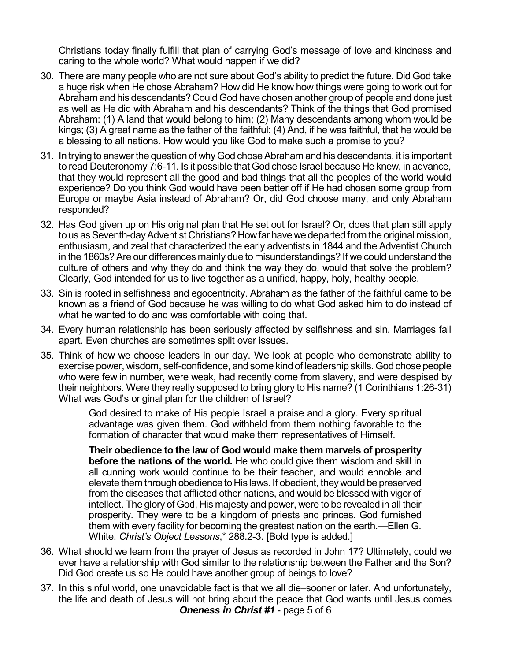Christians today finally fulfill that plan of carrying God's message of love and kindness and caring to the whole world? What would happen if we did?

- 30. There are many people who are not sure about God's ability to predict the future. Did God take a huge risk when He chose Abraham? How did He know how things were going to work out for Abraham and his descendants? Could God have chosen another group of people and done just as well as He did with Abraham and his descendants? Think of the things that God promised Abraham: (1) A land that would belong to him; (2) Many descendants among whom would be kings; (3) A great name as the father of the faithful; (4) And, if he was faithful, that he would be a blessing to all nations. How would you like God to make such a promise to you?
- 31. In trying to answerthe question of whyGod choseAbraham and his descendants, it is important to read Deuteronomy 7:6-11. Is it possible that God chose Israel because He knew, in advance, that they would represent all the good and bad things that all the peoples of the world would experience? Do you think God would have been better off if He had chosen some group from Europe or maybe Asia instead of Abraham? Or, did God choose many, and only Abraham responded?
- 32. Has God given up on His original plan that He set out for Israel? Or, does that plan still apply to us as Seventh-day Adventist Christians? How far have we departed from the original mission, enthusiasm, and zeal that characterized the early adventists in 1844 and the Adventist Church in the 1860s? Are our differences mainly due to misunderstandings? If we could understand the culture of others and why they do and think the way they do, would that solve the problem? Clearly, God intended for us to live together as a unified, happy, holy, healthy people.
- 33. Sin is rooted in selfishness and egocentricity. Abraham as the father of the faithful came to be known as a friend of God because he was willing to do what God asked him to do instead of what he wanted to do and was comfortable with doing that.
- 34. Every human relationship has been seriously affected by selfishness and sin. Marriages fall apart. Even churches are sometimes split over issues.
- 35. Think of how we choose leaders in our day. We look at people who demonstrate ability to exercise power, wisdom, self-confidence, and some kind of leadership skills. God chose people who were few in number, were weak, had recently come from slavery, and were despised by their neighbors. Were they really supposed to bring glory to His name? (1 Corinthians 1:26-31) What was God's original plan for the children of Israel?

God desired to make of His people Israel a praise and a glory. Every spiritual advantage was given them. God withheld from them nothing favorable to the formation of character that would make them representatives of Himself.

**Their obedience to the law of God would make them marvels of prosperity before the nations of the world.** He who could give them wisdom and skill in all cunning work would continue to be their teacher, and would ennoble and elevate them through obedience to His laws. If obedient, they would be preserved from the diseases that afflicted other nations, and would be blessed with vigor of intellect. The glory of God, His majesty and power, were to be revealed in all their prosperity. They were to be a kingdom of priests and princes. God furnished them with every facility for becoming the greatest nation on the earth.—Ellen G. White, *Christ's Object Lessons*,\* 288.2-3. [Bold type is added.]

- 36. What should we learn from the prayer of Jesus as recorded in John 17? Ultimately, could we ever have a relationship with God similar to the relationship between the Father and the Son? Did God create us so He could have another group of beings to love?
- 37. In this sinful world, one unavoidable fact is that we all die–sooner or later. And unfortunately, the life and death of Jesus will not bring about the peace that God wants until Jesus comes *Oneness in Christ #1* - page 5 of 6